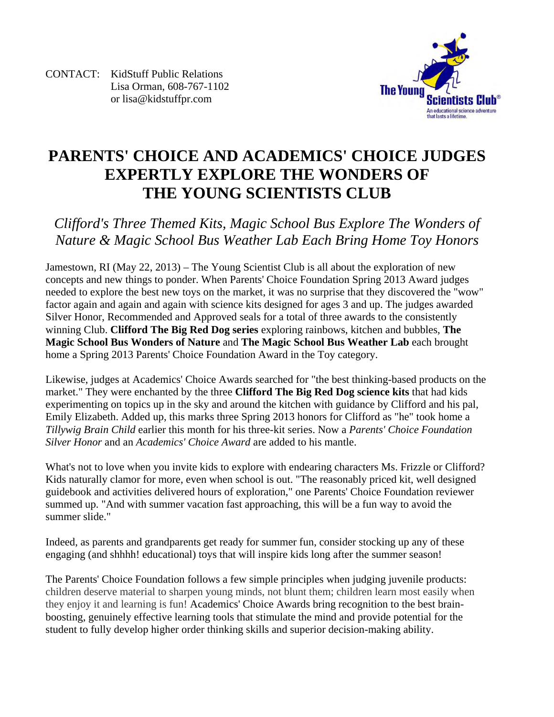CONTACT: KidStuff Public Relations Lisa Orman, 608-767-1102 or lisa@kidstuffpr.com



## **PARENTS' CHOICE AND ACADEMICS' CHOICE JUDGES EXPERTLY EXPLORE THE WONDERS OF THE YOUNG SCIENTISTS CLUB**

*Clifford's Three Themed Kits, Magic School Bus Explore The Wonders of Nature & Magic School Bus Weather Lab Each Bring Home Toy Honors* 

Jamestown, RI (May 22, 2013) – The Young Scientist Club is all about the exploration of new concepts and new things to ponder. When Parents' Choice Foundation Spring 2013 Award judges needed to explore the best new toys on the market, it was no surprise that they discovered the "wow" factor again and again and again with science kits designed for ages 3 and up. The judges awarded Silver Honor, Recommended and Approved seals for a total of three awards to the consistently winning Club. **Clifford The Big Red Dog series** exploring rainbows, kitchen and bubbles, **The Magic School Bus Wonders of Nature** and **The Magic School Bus Weather Lab** each brought home a Spring 2013 Parents' Choice Foundation Award in the Toy category.

Likewise, judges at Academics' Choice Awards searched for "the best thinking-based products on the market." They were enchanted by the three **Clifford The Big Red Dog science kits** that had kids experimenting on topics up in the sky and around the kitchen with guidance by Clifford and his pal, Emily Elizabeth. Added up, this marks three Spring 2013 honors for Clifford as "he" took home a *Tillywig Brain Child* earlier this month for his three-kit series. Now a *Parents' Choice Foundation Silver Honor* and an *Academics' Choice Award* are added to his mantle.

What's not to love when you invite kids to explore with endearing characters Ms. Frizzle or Clifford? Kids naturally clamor for more, even when school is out. "The reasonably priced kit, well designed guidebook and activities delivered hours of exploration," one Parents' Choice Foundation reviewer summed up. "And with summer vacation fast approaching, this will be a fun way to avoid the summer slide."

Indeed, as parents and grandparents get ready for summer fun, consider stocking up any of these engaging (and shhhh! educational) toys that will inspire kids long after the summer season!

The Parents' Choice Foundation follows a few simple principles when judging juvenile products: children deserve material to sharpen young minds, not blunt them; children learn most easily when they enjoy it and learning is fun! Academics' Choice Awards bring recognition to the best brainboosting, genuinely effective learning tools that stimulate the mind and provide potential for the student to fully develop higher order thinking skills and superior decision-making ability.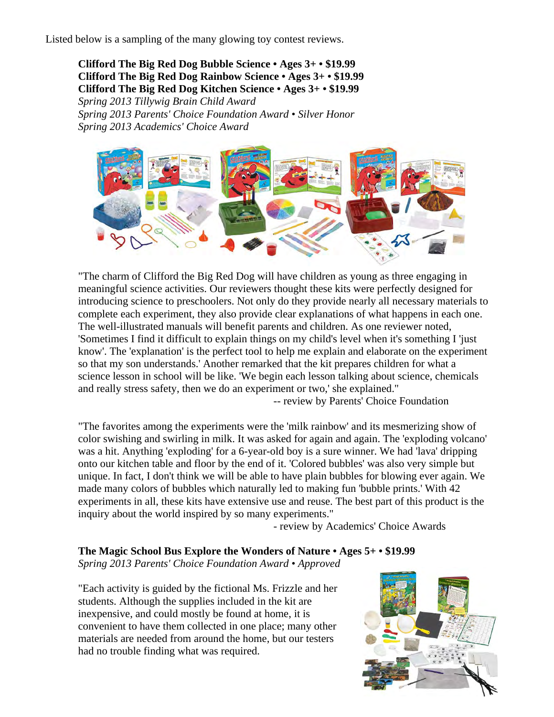Listed below is a sampling of the many glowing toy contest reviews.

 **Clifford The Big Red Dog Bubble Science • Ages 3+ • \$19.99 Clifford The Big Red Dog Rainbow Science • Ages 3+ • \$19.99 Clifford The Big Red Dog Kitchen Science • Ages 3+ • \$19.99** 

 *Spring 2013 Tillywig Brain Child Award Spring 2013 Parents' Choice Foundation Award • Silver Honor Spring 2013 Academics' Choice Award* 



"The charm of Clifford the Big Red Dog will have children as young as three engaging in meaningful science activities. Our reviewers thought these kits were perfectly designed for introducing science to preschoolers. Not only do they provide nearly all necessary materials to complete each experiment, they also provide clear explanations of what happens in each one. The well-illustrated manuals will benefit parents and children. As one reviewer noted, 'Sometimes I find it difficult to explain things on my child's level when it's something I 'just know'. The 'explanation' is the perfect tool to help me explain and elaborate on the experiment so that my son understands.' Another remarked that the kit prepares children for what a science lesson in school will be like. 'We begin each lesson talking about science, chemicals and really stress safety, then we do an experiment or two,' she explained."

-- review by Parents' Choice Foundation

"The favorites among the experiments were the 'milk rainbow' and its mesmerizing show of color swishing and swirling in milk. It was asked for again and again. The 'exploding volcano' was a hit. Anything 'exploding' for a 6-year-old boy is a sure winner. We had 'lava' dripping onto our kitchen table and floor by the end of it. 'Colored bubbles' was also very simple but unique. In fact, I don't think we will be able to have plain bubbles for blowing ever again. We made many colors of bubbles which naturally led to making fun 'bubble prints.' With 42 experiments in all, these kits have extensive use and reuse. The best part of this product is the inquiry about the world inspired by so many experiments."

- review by Academics' Choice Awards

## **The Magic School Bus Explore the Wonders of Nature • Ages 5+ • \$19.99**

*Spring 2013 Parents' Choice Foundation Award • Approved* 

"Each activity is guided by the fictional Ms. Frizzle and her students. Although the supplies included in the kit are inexpensive, and could mostly be found at home, it is convenient to have them collected in one place; many other materials are needed from around the home, but our testers had no trouble finding what was required.